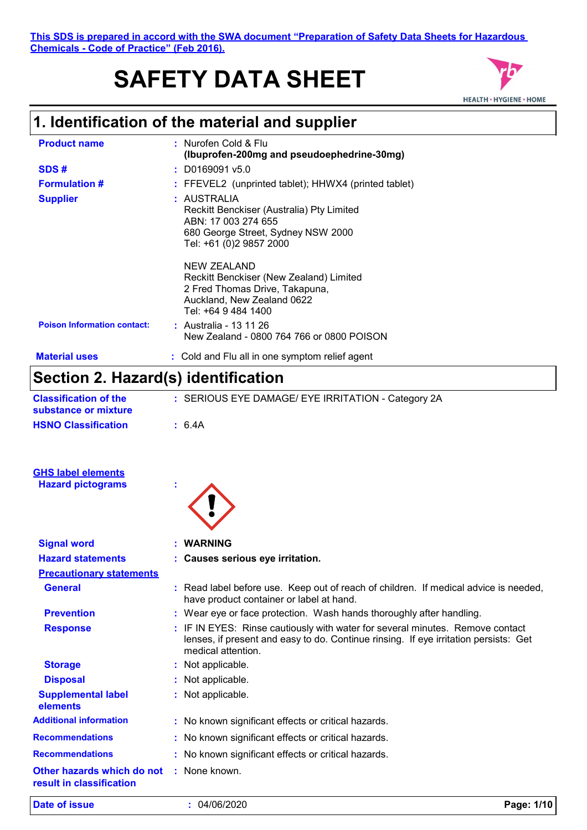# **SAFETY DATA SHEET**



# **1. Identification of the material and supplier**

| <b>Product name</b>                | : Nurofen Cold & Flu<br>(Ibuprofen-200mg and pseudoephedrine-30mg)                                                                               |
|------------------------------------|--------------------------------------------------------------------------------------------------------------------------------------------------|
| SDS#                               | $:$ D0169091 v5.0                                                                                                                                |
| <b>Formulation #</b>               | : FFEVEL2 (unprinted tablet); HHWX4 (printed tablet)                                                                                             |
| <b>Supplier</b>                    | : AUSTRALIA<br>Reckitt Benckiser (Australia) Pty Limited<br>ABN: 17 003 274 655<br>680 George Street, Sydney NSW 2000<br>Tel: +61 (0)2 9857 2000 |
|                                    | NEW ZEALAND<br>Reckitt Benckiser (New Zealand) Limited<br>2 Fred Thomas Drive, Takapuna,<br>Auckland, New Zealand 0622<br>Tel: +64 9 484 1400    |
| <b>Poison Information contact:</b> | : Australia - 13 11 26<br>New Zealand - 0800 764 766 or 0800 POISON                                                                              |
| <b>Material uses</b>               | : Cold and Flu all in one symptom relief agent                                                                                                   |

# **Section 2. Hazard(s) identification**

| Section 2. Hazard(s) Identification                  |                                                                                                                                                                                             |
|------------------------------------------------------|---------------------------------------------------------------------------------------------------------------------------------------------------------------------------------------------|
| <b>Classification of the</b><br>substance or mixture | : SERIOUS EYE DAMAGE/ EYE IRRITATION - Category 2A                                                                                                                                          |
| <b>HSNO Classification</b>                           | : 6.4A                                                                                                                                                                                      |
| <b>GHS label elements</b>                            |                                                                                                                                                                                             |
| <b>Hazard pictograms</b>                             |                                                                                                                                                                                             |
| <b>Signal word</b>                                   | <b>WARNING</b>                                                                                                                                                                              |
| <b>Hazard statements</b>                             | : Causes serious eye irritation.                                                                                                                                                            |
| <b>Precautionary statements</b>                      |                                                                                                                                                                                             |
| <b>General</b>                                       | : Read label before use. Keep out of reach of children. If medical advice is needed,<br>have product container or label at hand.                                                            |
| <b>Prevention</b>                                    | : Wear eye or face protection. Wash hands thoroughly after handling.                                                                                                                        |
| <b>Response</b>                                      | : IF IN EYES: Rinse cautiously with water for several minutes. Remove contact<br>lenses, if present and easy to do. Continue rinsing. If eye irritation persists: Get<br>medical attention. |
| <b>Storage</b>                                       | : Not applicable.                                                                                                                                                                           |
| <b>Disposal</b>                                      | : Not applicable.                                                                                                                                                                           |
| <b>Supplemental label</b><br>elements                | : Not applicable.                                                                                                                                                                           |
| <b>Additional information</b>                        | : No known significant effects or critical hazards.                                                                                                                                         |
| <b>Recommendations</b>                               | : No known significant effects or critical hazards.                                                                                                                                         |
| <b>Recommendations</b>                               | : No known significant effects or critical hazards.                                                                                                                                         |
| Other hazards which do not                           | : None known.                                                                                                                                                                               |

**result in classification**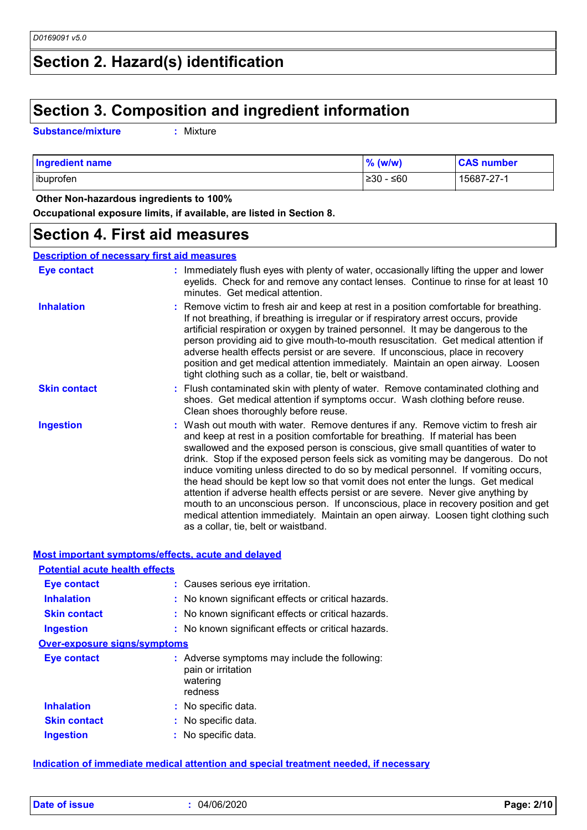# **Section 2. Hazard(s) identification**

### **Section 3. Composition and ingredient information**

**Substance/mixture :**

: Mixture

| <b>Ingredient name</b> | $%$ (w/w)  | <b>CAS number</b> |
|------------------------|------------|-------------------|
| ibuprofen              | 1≥30 - ≤60 | 15687-27-1        |

 **Other Non-hazardous ingredients to 100%**

**Occupational exposure limits, if available, are listed in Section 8.**

### **Section 4. First aid measures**

**Description of necessary first aid measures**

| Eye contact         | : Immediately flush eyes with plenty of water, occasionally lifting the upper and lower<br>eyelids. Check for and remove any contact lenses. Continue to rinse for at least 10<br>minutes. Get medical attention.                                                                                                                                                                                                                                                                                                                                                                                                                                                                                                                                                                                                            |
|---------------------|------------------------------------------------------------------------------------------------------------------------------------------------------------------------------------------------------------------------------------------------------------------------------------------------------------------------------------------------------------------------------------------------------------------------------------------------------------------------------------------------------------------------------------------------------------------------------------------------------------------------------------------------------------------------------------------------------------------------------------------------------------------------------------------------------------------------------|
| <b>Inhalation</b>   | : Remove victim to fresh air and keep at rest in a position comfortable for breathing.<br>If not breathing, if breathing is irregular or if respiratory arrest occurs, provide<br>artificial respiration or oxygen by trained personnel. It may be dangerous to the<br>person providing aid to give mouth-to-mouth resuscitation. Get medical attention if<br>adverse health effects persist or are severe. If unconscious, place in recovery<br>position and get medical attention immediately. Maintain an open airway. Loosen<br>tight clothing such as a collar, tie, belt or waistband.                                                                                                                                                                                                                                 |
| <b>Skin contact</b> | : Flush contaminated skin with plenty of water. Remove contaminated clothing and<br>shoes. Get medical attention if symptoms occur. Wash clothing before reuse.<br>Clean shoes thoroughly before reuse.                                                                                                                                                                                                                                                                                                                                                                                                                                                                                                                                                                                                                      |
| <b>Ingestion</b>    | : Wash out mouth with water. Remove dentures if any. Remove victim to fresh air<br>and keep at rest in a position comfortable for breathing. If material has been<br>swallowed and the exposed person is conscious, give small quantities of water to<br>drink. Stop if the exposed person feels sick as vomiting may be dangerous. Do not<br>induce vomiting unless directed to do so by medical personnel. If vomiting occurs,<br>the head should be kept low so that vomit does not enter the lungs. Get medical<br>attention if adverse health effects persist or are severe. Never give anything by<br>mouth to an unconscious person. If unconscious, place in recovery position and get<br>medical attention immediately. Maintain an open airway. Loosen tight clothing such<br>as a collar, tie, belt or waistband. |

| Most important symptoms/effects, acute and delayed |                                                                                            |  |  |  |  |
|----------------------------------------------------|--------------------------------------------------------------------------------------------|--|--|--|--|
| <b>Potential acute health effects</b>              |                                                                                            |  |  |  |  |
| <b>Eye contact</b>                                 | : Causes serious eye irritation.                                                           |  |  |  |  |
| <b>Inhalation</b>                                  | : No known significant effects or critical hazards.                                        |  |  |  |  |
| <b>Skin contact</b>                                | : No known significant effects or critical hazards.                                        |  |  |  |  |
| <b>Ingestion</b>                                   | : No known significant effects or critical hazards.                                        |  |  |  |  |
| <b>Over-exposure signs/symptoms</b>                |                                                                                            |  |  |  |  |
| <b>Eye contact</b>                                 | : Adverse symptoms may include the following:<br>pain or irritation<br>watering<br>redness |  |  |  |  |
| <b>Inhalation</b>                                  | : No specific data.                                                                        |  |  |  |  |
| <b>Skin contact</b>                                | : No specific data.                                                                        |  |  |  |  |
| <b>Ingestion</b>                                   | No specific data.                                                                          |  |  |  |  |
|                                                    |                                                                                            |  |  |  |  |

**Indication of immediate medical attention and special treatment needed, if necessary**

**Date of issue :** 04/06/2020 **Page: 2/10**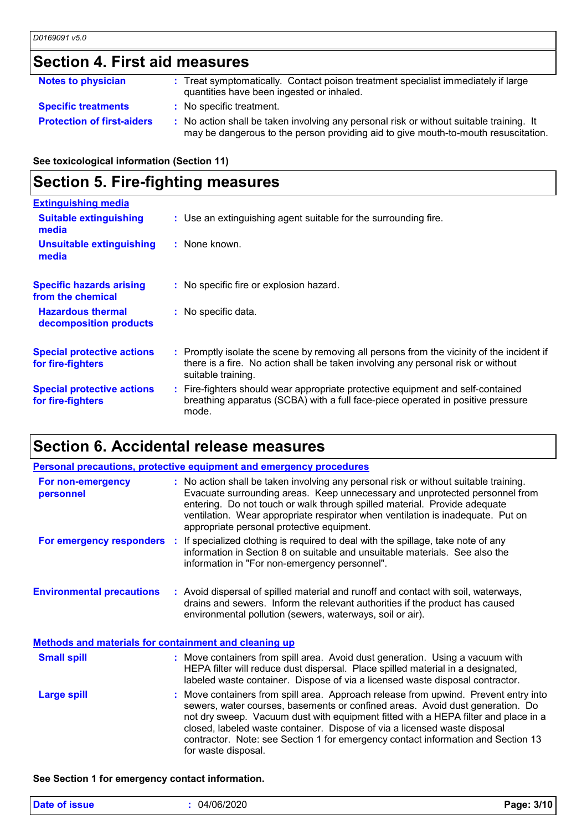# **Section 4. First aid measures**

| <b>Notes to physician</b>         | : Treat symptomatically. Contact poison treatment specialist immediately if large<br>quantities have been ingested or inhaled.                                                |
|-----------------------------------|-------------------------------------------------------------------------------------------------------------------------------------------------------------------------------|
| <b>Specific treatments</b>        | : No specific treatment.                                                                                                                                                      |
| <b>Protection of first-aiders</b> | : No action shall be taken involving any personal risk or without suitable training. It<br>may be dangerous to the person providing aid to give mouth-to-mouth resuscitation. |

**See toxicological information (Section 11)**

# **Section 5. Fire-fighting measures**

| <b>Extinguishing media</b>                             |                                                                                                                                                                                                     |
|--------------------------------------------------------|-----------------------------------------------------------------------------------------------------------------------------------------------------------------------------------------------------|
| <b>Suitable extinguishing</b><br>media                 | : Use an extinguishing agent suitable for the surrounding fire.                                                                                                                                     |
| <b>Unsuitable extinguishing</b><br>media               | : None known.                                                                                                                                                                                       |
| <b>Specific hazards arising</b><br>from the chemical   | : No specific fire or explosion hazard.                                                                                                                                                             |
| <b>Hazardous thermal</b><br>decomposition products     | : No specific data.                                                                                                                                                                                 |
| <b>Special protective actions</b><br>for fire-fighters | : Promptly isolate the scene by removing all persons from the vicinity of the incident if<br>there is a fire. No action shall be taken involving any personal risk or without<br>suitable training. |
| <b>Special protective actions</b><br>for fire-fighters | : Fire-fighters should wear appropriate protective equipment and self-contained<br>breathing apparatus (SCBA) with a full face-piece operated in positive pressure<br>mode.                         |

## **Section 6. Accidental release measures**

|                                                              | <b>Personal precautions, protective equipment and emergency procedures</b>                                                                                                                                                                                                                                                                                                                                                                         |
|--------------------------------------------------------------|----------------------------------------------------------------------------------------------------------------------------------------------------------------------------------------------------------------------------------------------------------------------------------------------------------------------------------------------------------------------------------------------------------------------------------------------------|
| For non-emergency<br>personnel                               | : No action shall be taken involving any personal risk or without suitable training.<br>Evacuate surrounding areas. Keep unnecessary and unprotected personnel from<br>entering. Do not touch or walk through spilled material. Provide adequate<br>ventilation. Wear appropriate respirator when ventilation is inadequate. Put on<br>appropriate personal protective equipment.                                                                  |
|                                                              | For emergency responders : If specialized clothing is required to deal with the spillage, take note of any<br>information in Section 8 on suitable and unsuitable materials. See also the<br>information in "For non-emergency personnel".                                                                                                                                                                                                         |
| <b>Environmental precautions</b>                             | : Avoid dispersal of spilled material and runoff and contact with soil, waterways,<br>drains and sewers. Inform the relevant authorities if the product has caused<br>environmental pollution (sewers, waterways, soil or air).                                                                                                                                                                                                                    |
| <b>Methods and materials for containment and cleaning up</b> |                                                                                                                                                                                                                                                                                                                                                                                                                                                    |
| <b>Small spill</b>                                           | : Move containers from spill area. Avoid dust generation. Using a vacuum with<br>HEPA filter will reduce dust dispersal. Place spilled material in a designated,<br>labeled waste container. Dispose of via a licensed waste disposal contractor.                                                                                                                                                                                                  |
| <b>Large spill</b>                                           | : Move containers from spill area. Approach release from upwind. Prevent entry into<br>sewers, water courses, basements or confined areas. Avoid dust generation. Do<br>not dry sweep. Vacuum dust with equipment fitted with a HEPA filter and place in a<br>closed, labeled waste container. Dispose of via a licensed waste disposal<br>contractor. Note: see Section 1 for emergency contact information and Section 13<br>for waste disposal. |

#### **See Section 1 for emergency contact information.**

| Date of issue | 04/06/2020 | Page: 3/10 |
|---------------|------------|------------|
|---------------|------------|------------|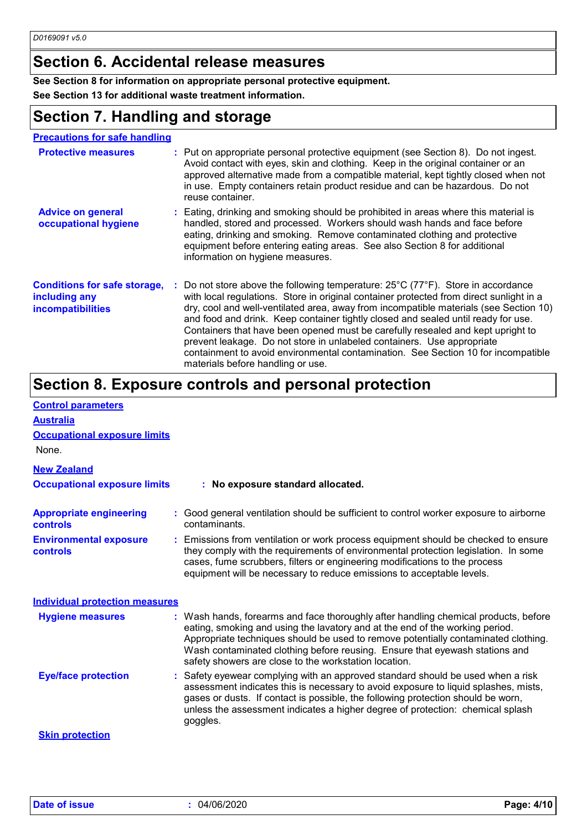# **Section 6. Accidental release measures**

**See Section 8 for information on appropriate personal protective equipment.**

**See Section 13 for additional waste treatment information.**

# **Section 7. Handling and storage**

| <b>Precautions for safe handling</b>                                             |                                                                                                                                                                                                                                                                                                                                                                                                                                                                                                                                                                                                                                                                       |
|----------------------------------------------------------------------------------|-----------------------------------------------------------------------------------------------------------------------------------------------------------------------------------------------------------------------------------------------------------------------------------------------------------------------------------------------------------------------------------------------------------------------------------------------------------------------------------------------------------------------------------------------------------------------------------------------------------------------------------------------------------------------|
| <b>Protective measures</b>                                                       | : Put on appropriate personal protective equipment (see Section 8). Do not ingest.<br>Avoid contact with eyes, skin and clothing. Keep in the original container or an<br>approved alternative made from a compatible material, kept tightly closed when not<br>in use. Empty containers retain product residue and can be hazardous. Do not<br>reuse container.                                                                                                                                                                                                                                                                                                      |
| <b>Advice on general</b><br>occupational hygiene                                 | : Eating, drinking and smoking should be prohibited in areas where this material is<br>handled, stored and processed. Workers should wash hands and face before<br>eating, drinking and smoking. Remove contaminated clothing and protective<br>equipment before entering eating areas. See also Section 8 for additional<br>information on hygiene measures.                                                                                                                                                                                                                                                                                                         |
| <b>Conditions for safe storage,</b><br>including any<br><b>incompatibilities</b> | : Do not store above the following temperature: $25^{\circ}$ C (77 $^{\circ}$ F). Store in accordance<br>with local regulations. Store in original container protected from direct sunlight in a<br>dry, cool and well-ventilated area, away from incompatible materials (see Section 10)<br>and food and drink. Keep container tightly closed and sealed until ready for use.<br>Containers that have been opened must be carefully resealed and kept upright to<br>prevent leakage. Do not store in unlabeled containers. Use appropriate<br>containment to avoid environmental contamination. See Section 10 for incompatible<br>materials before handling or use. |

# **Section 8. Exposure controls and personal protection**

| <b>Control parameters</b>                         |                                                                                                                                                                                                                                                                                                                                                                                                   |
|---------------------------------------------------|---------------------------------------------------------------------------------------------------------------------------------------------------------------------------------------------------------------------------------------------------------------------------------------------------------------------------------------------------------------------------------------------------|
| <b>Australia</b>                                  |                                                                                                                                                                                                                                                                                                                                                                                                   |
| <b>Occupational exposure limits</b>               |                                                                                                                                                                                                                                                                                                                                                                                                   |
| None.                                             |                                                                                                                                                                                                                                                                                                                                                                                                   |
| <b>New Zealand</b>                                |                                                                                                                                                                                                                                                                                                                                                                                                   |
| <b>Occupational exposure limits</b>               | : No exposure standard allocated.                                                                                                                                                                                                                                                                                                                                                                 |
| <b>Appropriate engineering</b><br><b>controls</b> | : Good general ventilation should be sufficient to control worker exposure to airborne<br>contaminants.                                                                                                                                                                                                                                                                                           |
| <b>Environmental exposure</b><br><b>controls</b>  | : Emissions from ventilation or work process equipment should be checked to ensure<br>they comply with the requirements of environmental protection legislation. In some<br>cases, fume scrubbers, filters or engineering modifications to the process<br>equipment will be necessary to reduce emissions to acceptable levels.                                                                   |
| <b>Individual protection measures</b>             |                                                                                                                                                                                                                                                                                                                                                                                                   |
| <b>Hygiene measures</b>                           | : Wash hands, forearms and face thoroughly after handling chemical products, before<br>eating, smoking and using the lavatory and at the end of the working period.<br>Appropriate techniques should be used to remove potentially contaminated clothing.<br>Wash contaminated clothing before reusing. Ensure that eyewash stations and<br>safety showers are close to the workstation location. |
| <b>Eye/face protection</b>                        | : Safety eyewear complying with an approved standard should be used when a risk<br>assessment indicates this is necessary to avoid exposure to liquid splashes, mists,<br>gases or dusts. If contact is possible, the following protection should be worn,<br>unless the assessment indicates a higher degree of protection: chemical splash<br>goggles.                                          |
| <b>Skin protection</b>                            |                                                                                                                                                                                                                                                                                                                                                                                                   |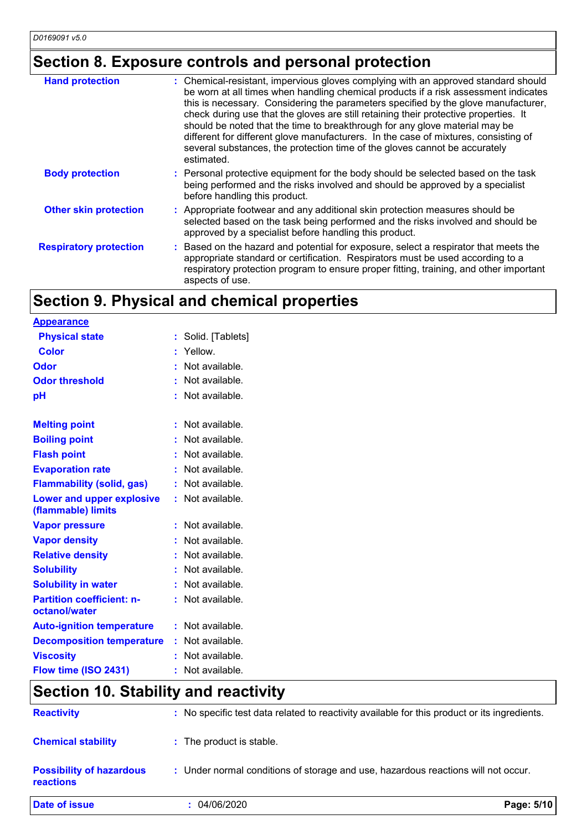# **Section 8. Exposure controls and personal protection**

| <b>Hand protection</b>        | : Chemical-resistant, impervious gloves complying with an approved standard should<br>be worn at all times when handling chemical products if a risk assessment indicates<br>this is necessary. Considering the parameters specified by the glove manufacturer,<br>check during use that the gloves are still retaining their protective properties. It<br>should be noted that the time to breakthrough for any glove material may be<br>different for different glove manufacturers. In the case of mixtures, consisting of<br>several substances, the protection time of the gloves cannot be accurately<br>estimated. |
|-------------------------------|---------------------------------------------------------------------------------------------------------------------------------------------------------------------------------------------------------------------------------------------------------------------------------------------------------------------------------------------------------------------------------------------------------------------------------------------------------------------------------------------------------------------------------------------------------------------------------------------------------------------------|
| <b>Body protection</b>        | : Personal protective equipment for the body should be selected based on the task<br>being performed and the risks involved and should be approved by a specialist<br>before handling this product.                                                                                                                                                                                                                                                                                                                                                                                                                       |
| <b>Other skin protection</b>  | : Appropriate footwear and any additional skin protection measures should be<br>selected based on the task being performed and the risks involved and should be<br>approved by a specialist before handling this product.                                                                                                                                                                                                                                                                                                                                                                                                 |
| <b>Respiratory protection</b> | Based on the hazard and potential for exposure, select a respirator that meets the<br>appropriate standard or certification. Respirators must be used according to a<br>respiratory protection program to ensure proper fitting, training, and other important<br>aspects of use.                                                                                                                                                                                                                                                                                                                                         |

# **Section 9. Physical and chemical properties**

| <u>Appearance</u>                                      |    |                  |
|--------------------------------------------------------|----|------------------|
| <b>Physical state</b>                                  | t. | Solid. [Tablets] |
| <b>Color</b>                                           | ř. | Yellow.          |
| Odor                                                   | ŧ. | Not available.   |
| <b>Odor threshold</b>                                  | ŧ. | Not available.   |
| рH                                                     | ÷. | Not available.   |
| <b>Melting point</b>                                   | ř. | Not available.   |
| <b>Boiling point</b>                                   | t. | Not available.   |
| <b>Flash point</b>                                     | t. | Not available.   |
| <b>Evaporation rate</b>                                | ŧ. | Not available.   |
| <b>Flammability (solid, gas)</b>                       | t. | Not available.   |
| <b>Lower and upper explosive</b><br>(flammable) limits | ř. | Not available.   |
| <b>Vapor pressure</b>                                  | ÷. | Not available.   |
| <b>Vapor density</b>                                   |    | Not available.   |
| <b>Relative density</b>                                | t. | Not available.   |
| <b>Solubility</b>                                      |    | Not available.   |
| <b>Solubility in water</b>                             | ÷. | Not available.   |
| <b>Partition coefficient: n-</b><br>octanol/water      | ř. | Not available.   |
| <b>Auto-ignition temperature</b>                       | t. | Not available.   |
| <b>Decomposition temperature</b>                       | t. | Not available.   |
| <b>Viscosity</b>                                       |    | Not available.   |
| Flow time (ISO 2431)                                   | ٠  | Not available.   |

# **Section 10. Stability and reactivity**

| <b>Date of issue</b>                         | : 04/06/2020                                                                                 | Page: 5/10 |
|----------------------------------------------|----------------------------------------------------------------------------------------------|------------|
| <b>Possibility of hazardous</b><br>reactions | : Under normal conditions of storage and use, hazardous reactions will not occur.            |            |
| <b>Chemical stability</b>                    | : The product is stable.                                                                     |            |
| <b>Reactivity</b>                            | : No specific test data related to reactivity available for this product or its ingredients. |            |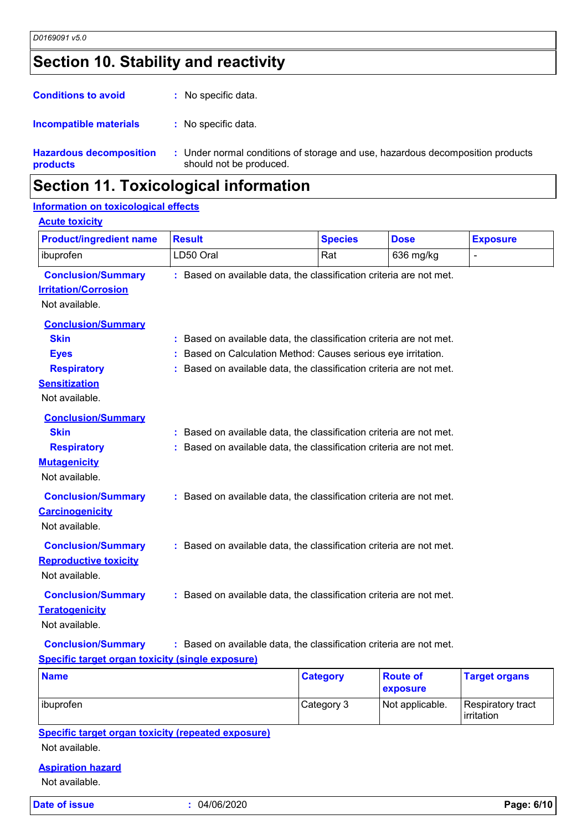# **Section 10. Stability and reactivity**

| <b>Hazardous decomposition</b><br>products | : Under normal conditions of storage and use, hazardous decomposition products<br>should not be produced. |
|--------------------------------------------|-----------------------------------------------------------------------------------------------------------|
| <b>Incompatible materials</b>              | : No specific data.                                                                                       |
| <b>Conditions to avoid</b>                 | : No specific data.                                                                                       |

### **Section 11. Toxicological information**

#### **Information on toxicological effects**

| <b>Product/ingredient name</b>                                             | <b>Result</b> | <b>Species</b>                                                      | <b>Dose</b> | <b>Exposure</b> |
|----------------------------------------------------------------------------|---------------|---------------------------------------------------------------------|-------------|-----------------|
| ibuprofen                                                                  | LD50 Oral     | Rat                                                                 | 636 mg/kg   | $\overline{a}$  |
| <b>Conclusion/Summary</b><br><b>Irritation/Corrosion</b><br>Not available. |               | : Based on available data, the classification criteria are not met. |             |                 |
|                                                                            |               |                                                                     |             |                 |
| <b>Conclusion/Summary</b><br><b>Skin</b>                                   |               | : Based on available data, the classification criteria are not met. |             |                 |
| <b>Eyes</b>                                                                |               | : Based on Calculation Method: Causes serious eye irritation.       |             |                 |
| <b>Respiratory</b>                                                         |               | : Based on available data, the classification criteria are not met. |             |                 |
| <b>Sensitization</b>                                                       |               |                                                                     |             |                 |
| Not available.                                                             |               |                                                                     |             |                 |
| <b>Conclusion/Summary</b>                                                  |               |                                                                     |             |                 |
| <b>Skin</b>                                                                |               | : Based on available data, the classification criteria are not met. |             |                 |
| <b>Respiratory</b>                                                         |               | : Based on available data, the classification criteria are not met. |             |                 |
| <b>Mutagenicity</b>                                                        |               |                                                                     |             |                 |
| Not available.                                                             |               |                                                                     |             |                 |
| <b>Conclusion/Summary</b>                                                  |               | : Based on available data, the classification criteria are not met. |             |                 |
| <b>Carcinogenicity</b>                                                     |               |                                                                     |             |                 |
| Not available.                                                             |               |                                                                     |             |                 |
| <b>Conclusion/Summary</b>                                                  |               | : Based on available data, the classification criteria are not met. |             |                 |
| <b>Reproductive toxicity</b>                                               |               |                                                                     |             |                 |
| Not available.                                                             |               |                                                                     |             |                 |
| <b>Conclusion/Summary</b>                                                  |               | : Based on available data, the classification criteria are not met. |             |                 |
| <b>Teratogenicity</b>                                                      |               |                                                                     |             |                 |
| Not available.                                                             |               |                                                                     |             |                 |
| <b>Conclusion/Summary</b>                                                  |               | : Based on available data, the classification criteria are not met. |             |                 |
| <b>Specific target organ toxicity (single exposure)</b>                    |               |                                                                     |             |                 |
|                                                                            |               | $P = 1 - 1 - 1$                                                     | $D = 4 + 6$ | <b>Tannella</b> |

| <b>Name</b> | <b>Category</b> | <b>Route of</b><br>exposure | <b>Target organs</b>            |
|-------------|-----------------|-----------------------------|---------------------------------|
| ibuprofen   | Category 3      | Not applicable.             | Respiratory tract<br>irritation |

**Specific target organ toxicity (repeated exposure)**

Not available.

#### **Aspiration hazard**

Not available.

**Date of issue :** 04/06/2020 **Page: 6/10**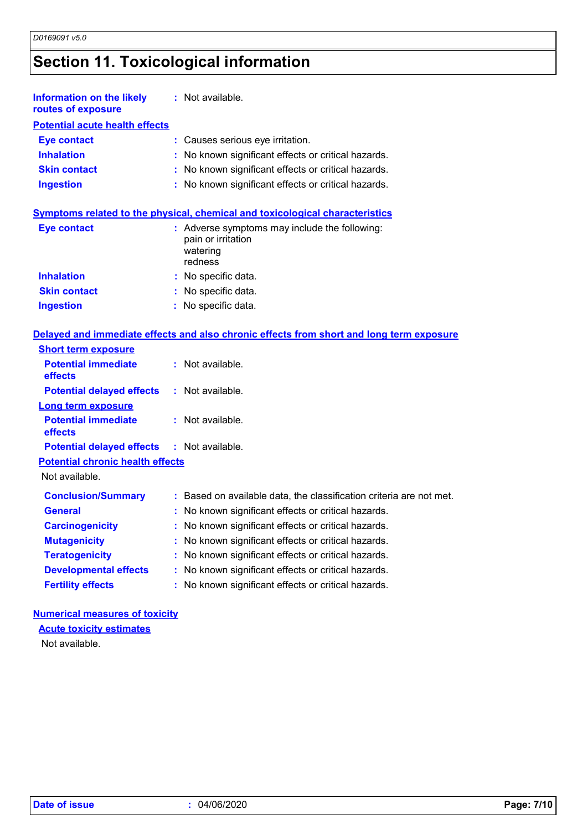# **Section 11. Toxicological information**

| <b>Information on the likely</b><br>routes of exposure | : Not available.                                                                           |
|--------------------------------------------------------|--------------------------------------------------------------------------------------------|
| <b>Potential acute health effects</b>                  |                                                                                            |
| <b>Eye contact</b>                                     | : Causes serious eye irritation.                                                           |
| <b>Inhalation</b>                                      | : No known significant effects or critical hazards.                                        |
| <b>Skin contact</b>                                    | : No known significant effects or critical hazards.                                        |
| <b>Ingestion</b>                                       | : No known significant effects or critical hazards.                                        |
|                                                        | <b>Symptoms related to the physical, chemical and toxicological characteristics</b>        |
| <b>Eye contact</b>                                     | : Adverse symptoms may include the following:<br>pain or irritation<br>watering<br>redness |

|                     | 16911655            |
|---------------------|---------------------|
| <b>Inhalation</b>   | : No specific data. |
| <b>Skin contact</b> | : No specific data. |
| <b>Ingestion</b>    | : No specific data. |

#### **Delayed and immediate effects and also chronic effects from short and long term exposure**

| <b>Short term exposure</b>                        |                                                                     |
|---------------------------------------------------|---------------------------------------------------------------------|
| <b>Potential immediate</b><br><b>effects</b>      | $:$ Not available.                                                  |
| <b>Potential delayed effects : Not available.</b> |                                                                     |
| <b>Long term exposure</b>                         |                                                                     |
| <b>Potential immediate</b><br><b>effects</b>      | $:$ Not available.                                                  |
| <b>Potential delayed effects : Not available.</b> |                                                                     |
| <b>Potential chronic health effects</b>           |                                                                     |
| Not available.                                    |                                                                     |
| <b>Conclusion/Summary</b>                         | : Based on available data, the classification criteria are not met. |
| <b>General</b>                                    | : No known significant effects or critical hazards.                 |
| <b>Carcinogenicity</b>                            | : No known significant effects or critical hazards.                 |
| <b>Mutagenicity</b>                               | : No known significant effects or critical hazards.                 |
| <b>Teratogenicity</b>                             | : No known significant effects or critical hazards.                 |
| <b>Developmental effects</b>                      | : No known significant effects or critical hazards.                 |
| <b>Fertility effects</b>                          | : No known significant effects or critical hazards.                 |

#### **Numerical measures of toxicity**

#### **Acute toxicity estimates**

Not available.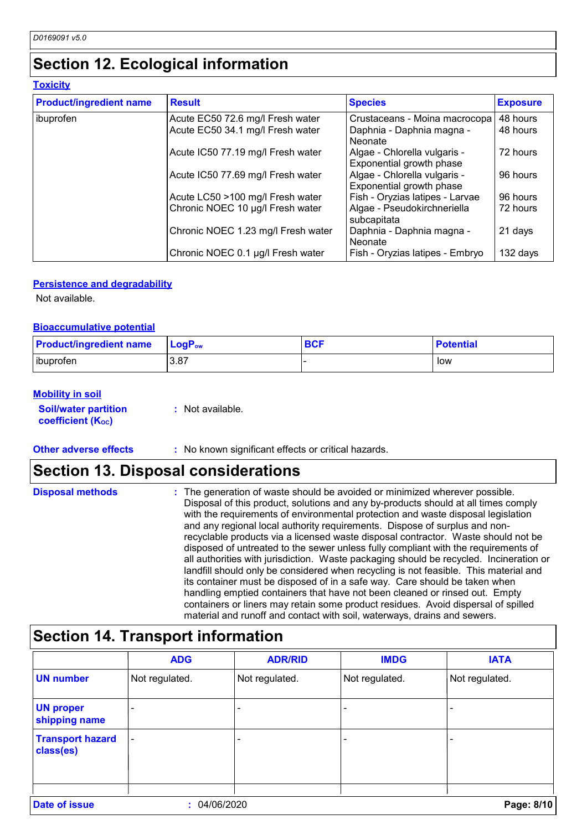# **Section 12. Ecological information**

| <b>Product/ingredient name</b> | <b>Result</b>                      | <b>Species</b>                                           | <b>Exposure</b> |
|--------------------------------|------------------------------------|----------------------------------------------------------|-----------------|
| ibuprofen                      | Acute EC50 72.6 mg/l Fresh water   | Crustaceans - Moina macrocopa                            | 48 hours        |
|                                | Acute EC50 34.1 mg/l Fresh water   | Daphnia - Daphnia magna -<br><b>Neonate</b>              | 48 hours        |
|                                | Acute IC50 77.19 mg/l Fresh water  | Algae - Chlorella vulgaris -<br>Exponential growth phase | 72 hours        |
|                                | Acute IC50 77.69 mg/l Fresh water  | Algae - Chlorella vulgaris -<br>Exponential growth phase | 96 hours        |
|                                | Acute LC50 >100 mg/l Fresh water   | Fish - Oryzias latipes - Larvae                          | 96 hours        |
|                                | Chronic NOEC 10 µg/l Fresh water   | Algae - Pseudokirchneriella<br>subcapitata               | 72 hours        |
|                                | Chronic NOEC 1.23 mg/l Fresh water | Daphnia - Daphnia magna -<br><b>Neonate</b>              | 21 days         |
|                                | Chronic NOEC 0.1 µg/l Fresh water  | Fish - Oryzias latipes - Embryo                          | 132 days        |

#### **Persistence and degradability**

Not available.

#### **Bioaccumulative potential**

| <b>Product/ingredient name</b> | $LogP_{ow}$ | <b>BCF</b> | <b>Potential</b> |
|--------------------------------|-------------|------------|------------------|
| ibuprofen                      | 3.87        |            | low              |

#### **Mobility in soil**

**Soil/water partition coefficient (KOC)**

**:** Not available.

#### **Other adverse effects** : No known significant effects or critical hazards.

### **Section 13. Disposal considerations**

**Disposal methods :**

The generation of waste should be avoided or minimized wherever possible. Disposal of this product, solutions and any by-products should at all times comply with the requirements of environmental protection and waste disposal legislation and any regional local authority requirements. Dispose of surplus and nonrecyclable products via a licensed waste disposal contractor. Waste should not be disposed of untreated to the sewer unless fully compliant with the requirements of all authorities with jurisdiction. Waste packaging should be recycled. Incineration or landfill should only be considered when recycling is not feasible. This material and its container must be disposed of in a safe way. Care should be taken when handling emptied containers that have not been cleaned or rinsed out. Empty containers or liners may retain some product residues. Avoid dispersal of spilled material and runoff and contact with soil, waterways, drains and sewers.

### **Section 14. Transport information**

|                                      | <b>ADG</b>               | <b>ADR/RID</b> | <b>IMDG</b>    | <b>IATA</b>    |
|--------------------------------------|--------------------------|----------------|----------------|----------------|
| <b>UN number</b>                     | Not regulated.           | Not regulated. | Not regulated. | Not regulated. |
| <b>UN proper</b><br>shipping name    |                          |                |                |                |
| <b>Transport hazard</b><br>class(es) | $\overline{\phantom{a}}$ |                |                |                |
| <b>Date of issue</b>                 | 04/06/2020               |                |                | Page: 8/10     |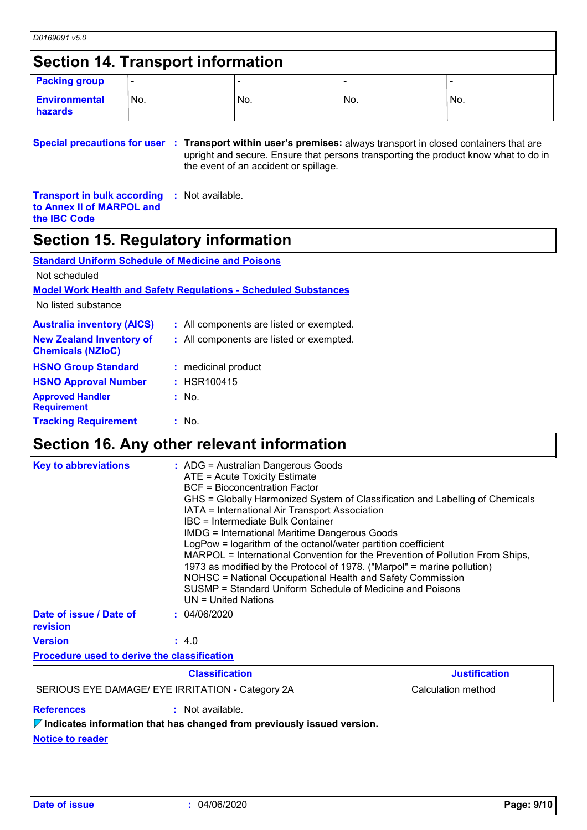### **Section 14. Transport information**

| <b>Packing group</b>            |      |     |     |      |
|---------------------------------|------|-----|-----|------|
| <b>Environmental</b><br>hazards | 'No. | No. | No. | INo. |

**Special precautions for user Transport within user's premises:** always transport in closed containers that are **:** upright and secure. Ensure that persons transporting the product know what to do in the event of an accident or spillage.

**Transport in bulk according to Annex II of MARPOL and the IBC Code :** Not available.

### **Section 15. Regulatory information**

| <b>Standard Uniform Schedule of Medicine and Poisons</b>               |                                          |  |  |  |  |
|------------------------------------------------------------------------|------------------------------------------|--|--|--|--|
| Not scheduled                                                          |                                          |  |  |  |  |
| <b>Model Work Health and Safety Regulations - Scheduled Substances</b> |                                          |  |  |  |  |
| No listed substance                                                    |                                          |  |  |  |  |
| <b>Australia inventory (AICS)</b>                                      | : All components are listed or exempted. |  |  |  |  |
| <b>New Zealand Inventory of</b><br><b>Chemicals (NZIoC)</b>            | : All components are listed or exempted. |  |  |  |  |
| <b>HSNO Group Standard</b>                                             | : medicinal product                      |  |  |  |  |
| <b>HSNO Approval Number</b>                                            | $:$ HSR100415                            |  |  |  |  |
| <b>Approved Handler</b><br><b>Requirement</b>                          | : No.                                    |  |  |  |  |
| <b>Tracking Requirement</b>                                            | : No.                                    |  |  |  |  |

# **Section 16. Any other relevant information**

| <b>Key to abbreviations</b>                        | $:$ ADG = Australian Dangerous Goods<br>ATE = Acute Toxicity Estimate<br><b>BCF</b> = Bioconcentration Factor<br>GHS = Globally Harmonized System of Classification and Labelling of Chemicals<br>IATA = International Air Transport Association<br>IBC = Intermediate Bulk Container<br><b>IMDG = International Maritime Dangerous Goods</b><br>LogPow = logarithm of the octanol/water partition coefficient<br>MARPOL = International Convention for the Prevention of Pollution From Ships,<br>1973 as modified by the Protocol of 1978. ("Marpol" = marine pollution)<br>NOHSC = National Occupational Health and Safety Commission<br>SUSMP = Standard Uniform Schedule of Medicine and Poisons<br>$UN = United Nations$ |                      |
|----------------------------------------------------|--------------------------------------------------------------------------------------------------------------------------------------------------------------------------------------------------------------------------------------------------------------------------------------------------------------------------------------------------------------------------------------------------------------------------------------------------------------------------------------------------------------------------------------------------------------------------------------------------------------------------------------------------------------------------------------------------------------------------------|----------------------|
| Date of issue / Date of<br>revision                | : 04/06/2020                                                                                                                                                                                                                                                                                                                                                                                                                                                                                                                                                                                                                                                                                                                   |                      |
| <b>Version</b>                                     | : 4.0                                                                                                                                                                                                                                                                                                                                                                                                                                                                                                                                                                                                                                                                                                                          |                      |
| <b>Procedure used to derive the classification</b> |                                                                                                                                                                                                                                                                                                                                                                                                                                                                                                                                                                                                                                                                                                                                |                      |
|                                                    | <b>Classification</b>                                                                                                                                                                                                                                                                                                                                                                                                                                                                                                                                                                                                                                                                                                          | <b>Justification</b> |
|                                                    | SERIOUS EYE DAMAGE/ EYE IRRITATION - Category 2A                                                                                                                                                                                                                                                                                                                                                                                                                                                                                                                                                                                                                                                                               | Calculation method   |

**References :** Not available.

**Indicates information that has changed from previously issued version.**

**Notice to reader**